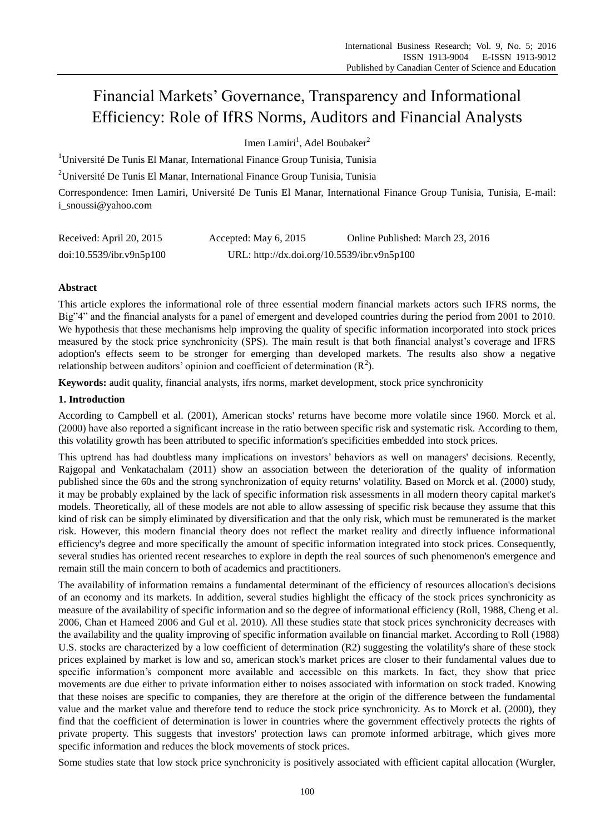# Financial Markets' Governance, Transparency and Informational Efficiency: Role of IfRS Norms, Auditors and Financial Analysts

Imen Lamiri<sup>1</sup>, Adel Boubaker<sup>2</sup>

 $1$ Université De Tunis El Manar, International Finance Group Tunisia, Tunisia

<sup>2</sup>Université De Tunis El Manar, International Finance Group Tunisia, Tunisia

Correspondence: Imen Lamiri, Université De Tunis El Manar, International Finance Group Tunisia, Tunisia, E-mail: i\_snoussi@yahoo.com

| Received: April 20, 2015 | Accepted: May 6, 2015                       | Online Published: March 23, 2016 |
|--------------------------|---------------------------------------------|----------------------------------|
| doi:10.5539/ibr.v9n5p100 | URL: http://dx.doi.org/10.5539/ibr.v9n5p100 |                                  |

# **Abstract**

This article explores the informational role of three essential modern financial markets actors such IFRS norms, the Big"4" and the financial analysts for a panel of emergent and developed countries during the period from 2001 to 2010. We hypothesis that these mechanisms help improving the quality of specific information incorporated into stock prices measured by the stock price synchronicity (SPS). The main result is that both financial analyst's coverage and IFRS adoption's effects seem to be stronger for emerging than developed markets. The results also show a negative relationship between auditors' opinion and coefficient of determination  $(R^2)$ .

**Keywords:** audit quality, financial analysts, ifrs norms, market development, stock price synchronicity

# **1. Introduction**

According to Campbell et al. (2001), American stocks' returns have become more volatile since 1960. Morck et al. (2000) have also reported a significant increase in the ratio between specific risk and systematic risk. According to them, this volatility growth has been attributed to specific information's specificities embedded into stock prices.

This uptrend has had doubtless many implications on investors' behaviors as well on managers' decisions. Recently, Rajgopal and Venkatachalam (2011) show an association between the deterioration of the quality of information published since the 60s and the strong synchronization of equity returns' volatility. Based on Morck et al. (2000) study, it may be probably explained by the lack of specific information risk assessments in all modern theory capital market's models. Theoretically, all of these models are not able to allow assessing of specific risk because they assume that this kind of risk can be simply eliminated by diversification and that the only risk, which must be remunerated is the market risk. However, this modern financial theory does not reflect the market reality and directly influence informational efficiency's degree and more specifically the amount of specific information integrated into stock prices. Consequently, several studies has oriented recent researches to explore in depth the real sources of such phenomenon's emergence and remain still the main concern to both of academics and practitioners.

The availability of information remains a fundamental determinant of the efficiency of resources allocation's decisions of an economy and its markets. In addition, several studies highlight the efficacy of the stock prices synchronicity as measure of the availability of specific information and so the degree of informational efficiency (Roll, 1988, Cheng et al. 2006, Chan et Hameed 2006 and Gul et al. 2010). All these studies state that stock prices synchronicity decreases with the availability and the quality improving of specific information available on financial market. According to Roll (1988) U.S. stocks are characterized by a low coefficient of determination (R2) suggesting the volatility's share of these stock prices explained by market is low and so, american stock's market prices are closer to their fundamental values due to specific information's component more available and accessible on this markets. In fact, they show that price movements are due either to private information either to noises associated with information on stock traded. Knowing that these noises are specific to companies, they are therefore at the origin of the difference between the fundamental value and the market value and therefore tend to reduce the stock price synchronicity. As to Morck et al. (2000), they find that the coefficient of determination is lower in countries where the government effectively protects the rights of private property. This suggests that investors' protection laws can promote informed arbitrage, which gives more specific information and reduces the block movements of stock prices.

Some studies state that low stock price synchronicity is positively associated with efficient capital allocation (Wurgler,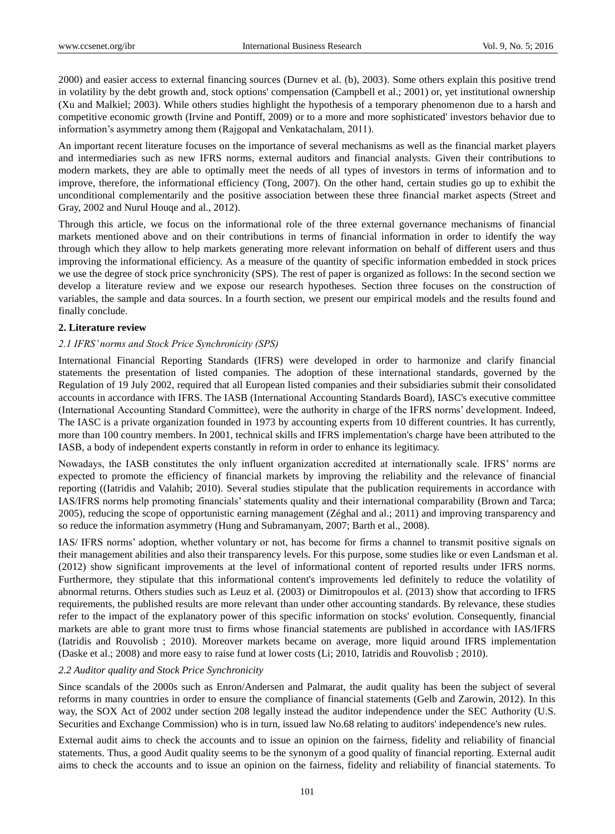2000) and easier access to external financing sources (Durnev et al. (b), 2003). Some others explain this positive trend in volatility by the debt growth and, stock options' compensation (Campbell et al.; 2001) or, yet institutional ownership (Xu and Malkiel; 2003). While others studies highlight the hypothesis of a temporary phenomenon due to a harsh and competitive economic growth (Irvine and Pontiff, 2009) or to a more and more sophisticated' investors behavior due to information's asymmetry among them (Rajgopal and Venkatachalam, 2011).

An important recent literature focuses on the importance of several mechanisms as well as the financial market players and intermediaries such as new IFRS norms, external auditors and financial analysts. Given their contributions to modern markets, they are able to optimally meet the needs of all types of investors in terms of information and to improve, therefore, the informational efficiency (Tong, 2007). On the other hand, certain studies go up to exhibit the unconditional complementarily and the positive association between these three financial market aspects (Street and Gray, 2002 and Nurul Houqe and al., 2012).

Through this article, we focus on the informational role of the three external governance mechanisms of financial markets mentioned above and on their contributions in terms of financial information in order to identify the way through which they allow to help markets generating more relevant information on behalf of different users and thus improving the informational efficiency. As a measure of the quantity of specific information embedded in stock prices we use the degree of stock price synchronicity (SPS). The rest of paper is organized as follows: In the second section we develop a literature review and we expose our research hypotheses. Section three focuses on the construction of variables, the sample and data sources. In a fourth section, we present our empirical models and the results found and finally conclude.

## **2. Literature review**

## *2.1 IFRS' norms and Stock Price Synchronicity (SPS)*

International Financial Reporting Standards (IFRS) were developed in order to harmonize and clarify financial statements the presentation of listed companies. The adoption of these international standards, governed by the Regulation of 19 July 2002, required that all European listed companies and their subsidiaries submit their consolidated accounts in accordance with IFRS. The IASB (International Accounting Standards Board), IASC's executive committee (International Accounting Standard Committee), were the authority in charge of the IFRS norms' development. Indeed, The IASC is a private organization founded in 1973 by accounting experts from 10 different countries. It has currently, more than 100 country members. In 2001, technical skills and IFRS implementation's charge have been attributed to the IASB, a body of independent experts constantly in reform in order to enhance its legitimacy.

Nowadays, the IASB constitutes the only influent organization accredited at internationally scale. IFRS' norms are expected to promote the efficiency of financial markets by improving the reliability and the relevance of financial reporting ((Iatridis and Valahib; 2010). Several studies stipulate that the publication requirements in accordance with IAS/IFRS norms help promoting financials' statements quality and their international comparability (Brown and Tarca; 2005), reducing the scope of opportunistic earning management (Zéghal and al.; 2011) and improving transparency and so reduce the information asymmetry (Hung and Subramanyam, 2007; Barth et al., 2008).

IAS/ IFRS norms' adoption, whether voluntary or not, has become for firms a channel to transmit positive signals on their management abilities and also their transparency levels. For this purpose, some studies like or even Landsman et al. (2012) show significant improvements at the level of informational content of reported results under IFRS norms. Furthermore, they stipulate that this informational content's improvements led definitely to reduce the volatility of abnormal returns. Others studies such as Leuz et al. (2003) or Dimitropoulos et al. (2013) show that according to IFRS requirements, the published results are more relevant than under other accounting standards. By relevance, these studies refer to the impact of the explanatory power of this specific information on stocks' evolution. Consequently, financial markets are able to grant more trust to firms whose financial statements are published in accordance with IAS/IFRS (Iatridis and Rouvolisb ; 2010). Moreover markets became on average, more liquid around IFRS implementation (Daske et al.; 2008) and more easy to raise fund at lower costs (Li; 2010, Iatridis and Rouvolisb ; 2010).

#### *2.2 Auditor quality and Stock Price Synchronicity*

Since scandals of the 2000s such as Enron/Andersen and Palmarat, the audit quality has been the subject of several reforms in many countries in order to ensure the compliance of financial statements (Gelb and Zarowin, 2012). In this way, the SOX Act of 2002 under section 208 legally instead the auditor independence under the SEC Authority (U.S. Securities and Exchange Commission) who is in turn, issued law No.68 relating to auditors' independence's new rules.

External audit aims to check the accounts and to issue an opinion on the fairness, fidelity and reliability of financial statements. Thus, a good Audit quality seems to be the synonym of a good quality of financial reporting. External audit aims to check the accounts and to issue an opinion on the fairness, fidelity and reliability of financial statements. To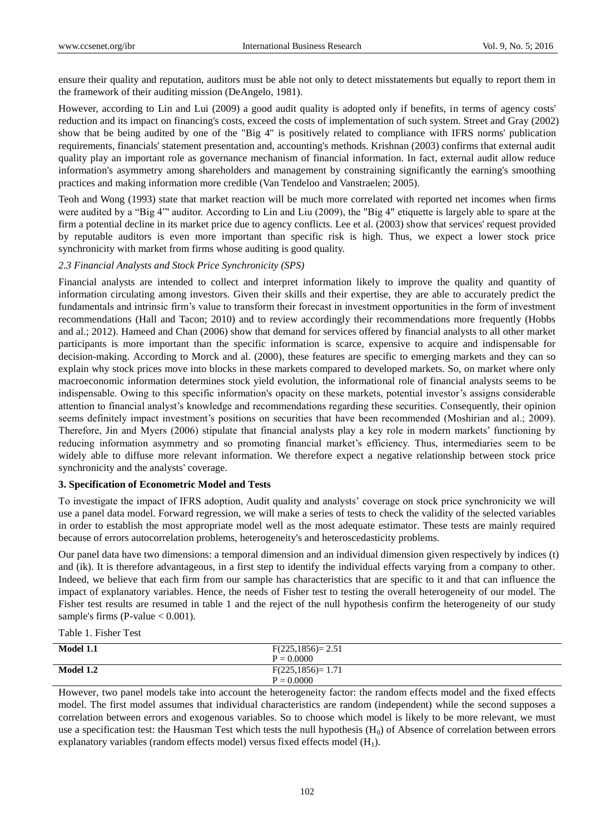ensure their quality and reputation, auditors must be able not only to detect misstatements but equally to report them in the framework of their auditing mission (DeAngelo, 1981).

However, according to Lin and Lui (2009) a good audit quality is adopted only if benefits, in terms of agency costs' reduction and its impact on financing's costs, exceed the costs of implementation of such system. Street and Gray (2002) show that be being audited by one of the "Big 4" is positively related to compliance with IFRS norms' publication requirements, financials' statement presentation and, accounting's methods. Krishnan (2003) confirms that external audit quality play an important role as governance mechanism of financial information. In fact, external audit allow reduce information's asymmetry among shareholders and management by constraining significantly the earning's smoothing practices and making information more credible (Van Tendeloo and Vanstraelen; 2005).

Teoh and Wong (1993) state that market reaction will be much more correlated with reported net incomes when firms were audited by a "Big 4"' auditor. According to Lin and Liu (2009), the "Big 4" etiquette is largely able to spare at the firm a potential decline in its market price due to agency conflicts. Lee et al. (2003) show that services' request provided by reputable auditors is even more important than specific risk is high. Thus, we expect a lower stock price synchronicity with market from firms whose auditing is good quality.

## *2.3 Financial Analysts and Stock Price Synchronicity (SPS)*

Financial analysts are intended to collect and interpret information likely to improve the quality and quantity of information circulating among investors. Given their skills and their expertise, they are able to accurately predict the fundamentals and intrinsic firm's value to transform their forecast in investment opportunities in the form of investment recommendations (Hall and Tacon; 2010) and to review accordingly their recommendations more frequently (Hobbs and al.; 2012). Hameed and Chan (2006) show that demand for services offered by financial analysts to all other market participants is more important than the specific information is scarce, expensive to acquire and indispensable for decision-making. According to Morck and al. (2000), these features are specific to emerging markets and they can so explain why stock prices move into blocks in these markets compared to developed markets. So, on market where only macroeconomic information determines stock yield evolution, the informational role of financial analysts seems to be indispensable. Owing to this specific information's opacity on these markets, potential investor's assigns considerable attention to financial analyst's knowledge and recommendations regarding these securities. Consequently, their opinion seems definitely impact investment's positions on securities that have been recommended (Moshirian and al.; 2009). Therefore, Jin and Myers (2006) stipulate that financial analysts play a key role in modern markets' functioning by reducing information asymmetry and so promoting financial market's efficiency. Thus, intermediaries seem to be widely able to diffuse more relevant information. We therefore expect a negative relationship between stock price synchronicity and the analysts' coverage.

# **3. Specification of Econometric Model and Tests**

To investigate the impact of IFRS adoption, Audit quality and analysts' coverage on stock price synchronicity we will use a panel data model. Forward regression, we will make a series of tests to check the validity of the selected variables in order to establish the most appropriate model well as the most adequate estimator. These tests are mainly required because of errors autocorrelation problems, heterogeneity's and heteroscedasticity problems.

Our panel data have two dimensions: a temporal dimension and an individual dimension given respectively by indices (t) and (ik). It is therefore advantageous, in a first step to identify the individual effects varying from a company to other. Indeed, we believe that each firm from our sample has characteristics that are specific to it and that can influence the impact of explanatory variables. Hence, the needs of Fisher test to testing the overall heterogeneity of our model. The Fisher test results are resumed in table 1 and the reject of the null hypothesis confirm the heterogeneity of our study sample's firms (P-value  $< 0.001$ ).

Table 1. Fisher Test

| Model 1.1        | $F(225, 1856) = 2.51$<br>$P = 0.0000$ |
|------------------|---------------------------------------|
| <b>Model 1.2</b> | $F(225, 1856) = 1.71$<br>$P = 0.0000$ |

However, two panel models take into account the heterogeneity factor: the random effects model and the fixed effects model. The first model assumes that individual characteristics are random (independent) while the second supposes a correlation between errors and exogenous variables. So to choose which model is likely to be more relevant, we must use a specification test: the Hausman Test which tests the null hypothesis  $(H_0)$  of Absence of correlation between errors explanatory variables (random effects model) versus fixed effects model  $(H_1)$ .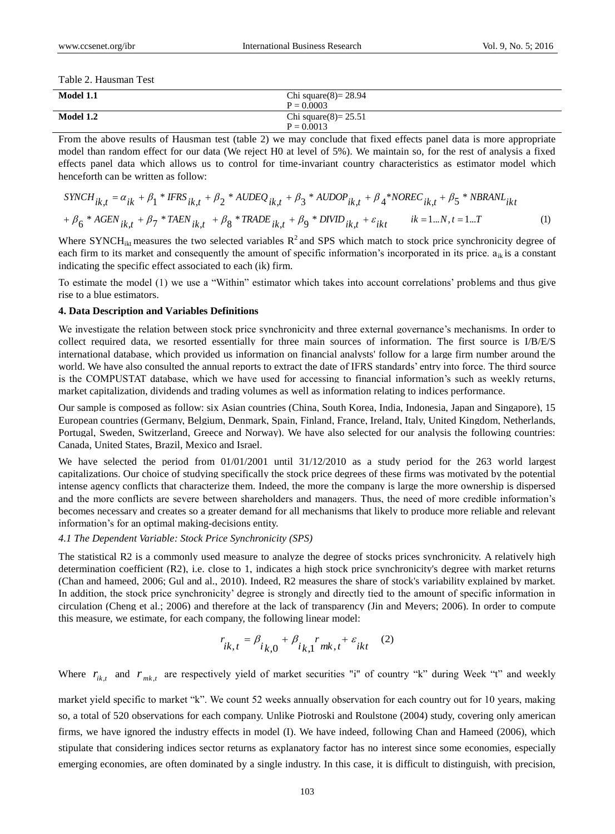Table 2. Hausman Test

| Model 1.1 | Chi square $(8)$ = 28.94<br>$P = 0.0003$ |
|-----------|------------------------------------------|
| Model 1.2 | Chi square $(8) = 25.51$                 |
|           | $P = 0.0013$                             |

From the above results of Hausman test (table 2) we may conclude that fixed effects panel data is more appropriate model than random effect for our data (We reject H0 at level of 5%). We maintain so, for the rest of analysis a fixed effects panel data which allows us to control for time-invariant country characteristics as estimator model which henceforth can be written as follow: Freeds panel data which allows us to control for time-invariant country characteristics as estimator modenceforth can be written as follow:<br> *SYNCH*  $_{ik,t} = \alpha_{ik} + \beta_1 * IFRS_{ik,t} + \beta_2 * AUDEQ_{ik,t} + \beta_3 * AUDOP_{ik,t} + \beta_4 * NOREC_{ik,t} + \beta_5 * NBR$ 

$$
SYNCH_{ik,t} = α_{ik} + β_1 * IFRS_{ik,t} + β_2 * AUDEQ_{ik,t} + β_3 * AUDOP_{ik,t} + β_4 * NOREC_{ik,t} + β_5 * NBRANL_{ik,t}
$$
  
+ β\_6 \* AGEN<sub>ik,t</sub> + β\_7 \* TAEN<sub>ik,t</sub> + β\_8 \* TRADE<sub>ik,t</sub> + β\_9 \* DIVID<sub>ik,t</sub> + ε<sub>ikt</sub> *ik* = 1...N, t = 1...T (1)  
When SVNCIL measures the true selected variables P<sup>2</sup> and SDS which match to stable series synchronistik degree.

Where SYNCH<sub>ikt</sub> measures the two selected variables  $R^2$  and SPS which match to stock price synchronicity degree of each firm to its market and consequently the amount of specific information's incorporated in its price.  $a_{ik}$  is a constant indicating the specific effect associated to each (ik) firm.

To estimate the model (1) we use a "Within" estimator which takes into account correlations' problems and thus give rise to a blue estimators.

# **4. Data Description and Variables Definitions**

We investigate the relation between stock price synchronicity and three external governance's mechanisms. In order to collect required data, we resorted essentially for three main sources of information. The first source is I/B/E/S international database, which provided us information on financial analysts' follow for a large firm number around the world. We have also consulted the annual reports to extract the date of IFRS standards' entry into force. The third source is the COMPUSTAT database, which we have used for accessing to financial information's such as weekly returns, market capitalization, dividends and trading volumes as well as information relating to indices performance.

Our sample is composed as follow: six Asian countries (China, South Korea, India, Indonesia, Japan and Singapore), 15 European countries (Germany, Belgium, Denmark, Spain, Finland, France, Ireland, Italy, United Kingdom, Netherlands, Portugal, Sweden, Switzerland, Greece and Norway). We have also selected for our analysis the following countries: Canada, United States, Brazil, Mexico and Israel.

We have selected the period from 01/01/2001 until 31/12/2010 as a study period for the 263 world largest capitalizations. Our choice of studying specifically the stock price degrees of these firms was motivated by the potential intense agency conflicts that characterize them. Indeed, the more the company is large the more ownership is dispersed and the more conflicts are severe between shareholders and managers. Thus, the need of more credible information's becomes necessary and creates so a greater demand for all mechanisms that likely to produce more reliable and relevant information's for an optimal making-decisions entity.

## *4.1 The Dependent Variable: Stock Price Synchronicity (SPS)*

The statistical R2 is a commonly used measure to analyze the degree of stocks prices synchronicity. A relatively high determination coefficient (R2), i.e. close to 1, indicates a high stock price synchronicity's degree with market returns (Chan and hameed, 2006; Gul and al., 2010). Indeed, R2 measures the share of stock's variability explained by market. In addition, the stock price synchronicity' degree is strongly and directly tied to the amount of specific information in circulation (Cheng et al.; 2006) and therefore at the lack of transparency (Jin and Meyers; 2006). In order to compute this measure, we estimate, for each company, the following linear model:

$$
r_{ik,t} = \beta_{i\,k,0} + \beta_{i\,k,1} r_{mk,t} + \varepsilon_{ikt} \tag{2}
$$

Where  $r_{ik,t}$  and  $r_{mk,t}$  are respectively yield of market securities "i" of country "k" during Week "t" and weekly

market yield specific to market "k". We count 52 weeks annually observation for each country out for 10 years, making so, a total of 520 observations for each company. Unlike Piotroski and Roulstone (2004) study, covering only american firms, we have ignored the industry effects in model (I). We have indeed, following Chan and Hameed (2006), which stipulate that considering indices sector returns as explanatory factor has no interest since some economies, especially emerging economies, are often dominated by a single industry. In this case, it is difficult to distinguish, with precision,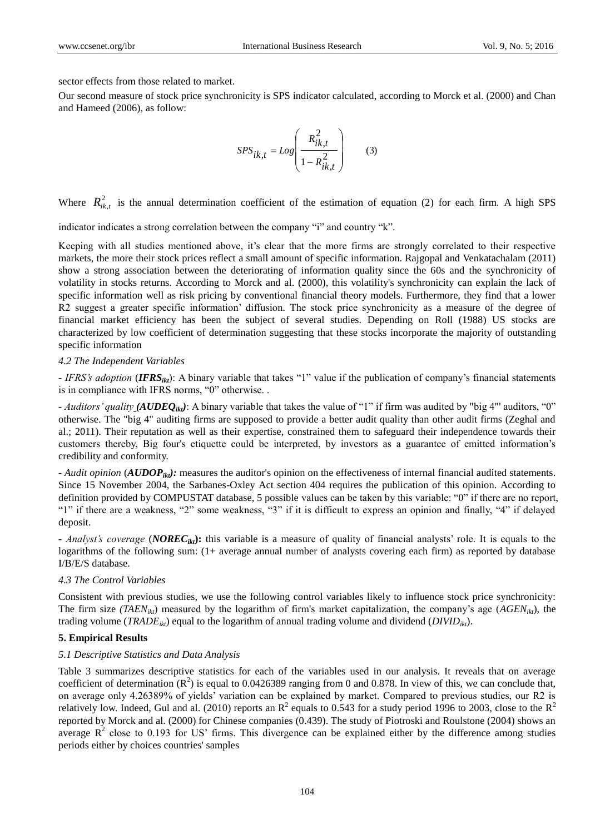sector effects from those related to market.

Our second measure of stock price synchronicity is SPS indicator calculated, according to Morck et al. (2000) and Chan and Hameed (2006), as follow:

$$
SPS_{ik,t} = Log\left(\frac{R_{ik,t}^2}{1 - R_{ik,t}^2}\right) \tag{3}
$$

Where  $R_{ik,t}^2$  is the annual determination coefficient of the estimation of equation (2) for each firm. A high SPS

indicator indicates a strong correlation between the company "i" and country "k".

Keeping with all studies mentioned above, it's clear that the more firms are strongly correlated to their respective markets, the more their stock prices reflect a small amount of specific information. Rajgopal and Venkatachalam (2011) show a strong association between the deteriorating of information quality since the 60s and the synchronicity of volatility in stocks returns. According to Morck and al. (2000), this volatility's synchronicity can explain the lack of specific information well as risk pricing by conventional financial theory models. Furthermore, they find that a lower R2 suggest a greater specific information' diffusion. The stock price synchronicity as a measure of the degree of financial market efficiency has been the subject of several studies. Depending on Roll (1988) US stocks are characterized by low coefficient of determination suggesting that these stocks incorporate the majority of outstanding specific information

#### *4.2 The Independent Variables*

- *IFRS's adoption* (*IFRSikt*): A binary variable that takes "1" value if the publication of company's financial statements is in compliance with IFRS norms, "0" otherwise. .

**-** *Auditors' quality (AUDEQikt)*: A binary variable that takes the value of "1" if firm was audited by "big 4"' auditors, "0" otherwise. The "big 4" auditing firms are supposed to provide a better audit quality than other audit firms (Zeghal and al.; 2011). Their reputation as well as their expertise, constrained them to safeguard their independence towards their customers thereby, Big four's etiquette could be interpreted, by investors as a guarantee of emitted information's credibility and conformity.

- *Audit opinion* (*AUDOPikt):* measures the auditor's opinion on the effectiveness of internal financial audited statements. Since 15 November 2004, the Sarbanes-Oxley Act section 404 requires the publication of this opinion. According to definition provided by COMPUSTAT database, 5 possible values can be taken by this variable: "0" if there are no report, "1" if there are a weakness, "2" some weakness, "3" if it is difficult to express an opinion and finally, "4" if delayed deposit.

**-** *Analyst's coverage* (*NORECikt***):** this variable is a measure of quality of financial analysts' role. It is equals to the logarithms of the following sum: (1+ average annual number of analysts covering each firm) as reported by database I/B/E/S database.

#### *4.3 The Control Variables*

Consistent with previous studies, we use the following control variables likely to influence stock price synchronicity: The firm size  $(TAEN_{ikt})$  measured by the logarithm of firm's market capitalization, the company's age  $(AGEN_{ikt})$ , the trading volume (*TRADE*<sub>*ikt*</sub>) equal to the logarithm of annual trading volume and dividend (*DIVID*<sub>*ikt*</sub>).

#### **5. Empirical Results**

## *5.1 Descriptive Statistics and Data Analysis*

Table 3 summarizes descriptive statistics for each of the variables used in our analysis. It reveals that on average coefficient of determination  $(R^2)$  is equal to 0.0426389 ranging from 0 and 0.878. In view of this, we can conclude that, on average only 4.26389% of yields' variation can be explained by market. Compared to previous studies, our R2 is relatively low. Indeed, Gul and al. (2010) reports an  $\mathbb{R}^2$  equals to 0.543 for a study period 1996 to 2003, close to the  $\mathbb{R}^2$ reported by Morck and al. (2000) for Chinese companies (0.439). The study of Piotroski and Roulstone (2004) shows an average  $\overline{R}^2$  close to 0.193 for US' firms. This divergence can be explained either by the difference among studies periods either by choices countries' samples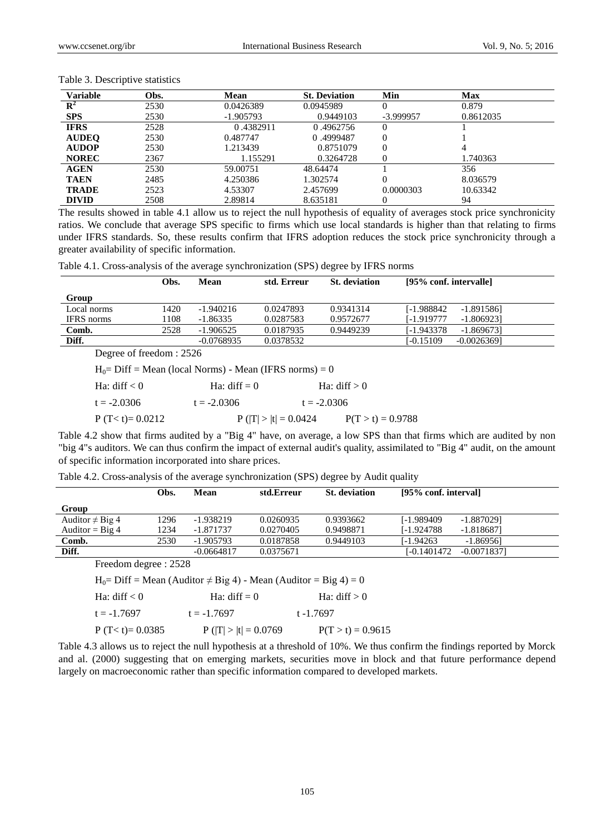| Variable       | Obs. | Mean        | <b>St. Deviation</b> | Min       | <b>Max</b> |  |
|----------------|------|-------------|----------------------|-----------|------------|--|
| $\mathbf{R}^2$ | 2530 | 0.0426389   | 0.0945989            | $\theta$  | 0.879      |  |
| <b>SPS</b>     | 2530 | $-1.905793$ | 0.9449103            | -3.999957 | 0.8612035  |  |
| <b>IFRS</b>    | 2528 | 0.4382911   | 0.4962756            | 0         |            |  |
| <b>AUDEO</b>   | 2530 | 0.487747    | 0.4999487            | $\Omega$  |            |  |
| <b>AUDOP</b>   | 2530 | 1.213439    | 0.8751079            | 0         |            |  |
| <b>NOREC</b>   | 2367 | 1.155291    | 0.3264728            | $\Omega$  | 1.740363   |  |
| <b>AGEN</b>    | 2530 | 59.00751    | 48.64474             |           | 356        |  |
| <b>TAEN</b>    | 2485 | 4.250386    | 1.302574             | $\Omega$  | 8.036579   |  |
| <b>TRADE</b>   | 2523 | 4.53307     | 2.457699             | 0.0000303 | 10.63342   |  |
| <b>DIVID</b>   | 2508 | 2.89814     | 8.635181             |           | 94         |  |

Table 3. Descriptive statistics

The results showed in table 4.1 allow us to reject the null hypothesis of equality of averages stock price synchronicity ratios. We conclude that average SPS specific to firms which use local standards is higher than that relating to firms under IFRS standards. So, these results confirm that IFRS adoption reduces the stock price synchronicity through a greater availability of specific information.

Table 4.1. Cross-analysis of the average synchronization (SPS) degree by IFRS norms

|                   | Obs. | Mean         | std. Erreur | <b>St.</b> deviation | [95% conf. intervalle]      |
|-------------------|------|--------------|-------------|----------------------|-----------------------------|
| Group             |      |              |             |                      |                             |
| Local norms       | 1420 | $-1.940216$  | 0.0247893   | 0.9341314            | F-1.988842<br>-1.8915861    |
| <b>IFRS</b> norms | 1108 | $-1.86335$   | 0.0287583   | 0.9572677            | 1-1.919777<br>$-1.806923$ ] |
| Comb.             | 2528 | $-1.906525$  | 0.0187935   | 0.9449239            | 1-1.943378<br>$-1.869673$   |
| Diff.             |      | $-0.0768935$ | 0.0378532   |                      | [-0.15109<br>$-0.00263691$  |

Degree of freedom : 2526

 $H_0 = Diff = Mean (local Norm) - Mean (IFRS norms) = 0$ Ha: diff  $< 0$  Ha: diff  $= 0$  Ha: diff  $> 0$  $t = -2.0306$   $t = -2.0306$   $t = -2.0306$ 

 $P (T < t) = 0.0212$   $P (|T| > |t| = 0.0424$   $P(T > t) = 0.9788$ 

Table 4.2 show that firms audited by a "Big 4" have, on average, a low SPS than that firms which are audited by non "big 4"s auditors. We can thus confirm the impact of external audit's quality, assimilated to "Big 4" audit, on the amount of specific information incorporated into share prices.

Table 4.2. Cross-analysis of the average synchronization (SPS) degree by Audit quality

|                      | Obs. | Mean         | std.Erreur | <b>St.</b> deviation | [95\% conf. interval]            |
|----------------------|------|--------------|------------|----------------------|----------------------------------|
| Group                |      |              |            |                      |                                  |
| Auditor $\neq$ Big 4 | 1296 | -1.938219    | 0.0260935  | 0.9393662            | $[-1.989409]$<br>-1.8870291      |
| Auditor = $Big 4$    | 1234 | -1.871737    | 0.0270405  | 0.9498871            | <b>F-1.924788</b><br>$-1.818687$ |
| Comb.                | 2530 | $-1.905793$  | 0.0187858  | 0.9449103            | $[-1.94263]$<br>$-1.86956$       |
| Diff.                |      | $-0.0664817$ | 0.0375671  |                      | [-0.1401472]<br>$-0.00718371$    |

Freedom degree : 2528

| $H_0 = Diff = Mean$ (Auditor $\neq$ Big 4) - Mean (Auditor = Big 4) = 0 |                        |                     |  |  |  |  |  |
|-------------------------------------------------------------------------|------------------------|---------------------|--|--|--|--|--|
| Ha: diff $< 0$                                                          | Ha: $diff = 0$         | Ha: $diff > 0$      |  |  |  |  |  |
| $t = -1.7697$                                                           | $t = -1.7697$          | t -1.7697           |  |  |  |  |  |
| P $(T < t) = 0.0385$                                                    | $P( T  >  t  = 0.0769$ | $P(T > t) = 0.9615$ |  |  |  |  |  |

Table 4.3 allows us to reject the null hypothesis at a threshold of 10%. We thus confirm the findings reported by Morck and al. (2000) suggesting that on emerging markets, securities move in block and that future performance depend largely on macroeconomic rather than specific information compared to developed markets.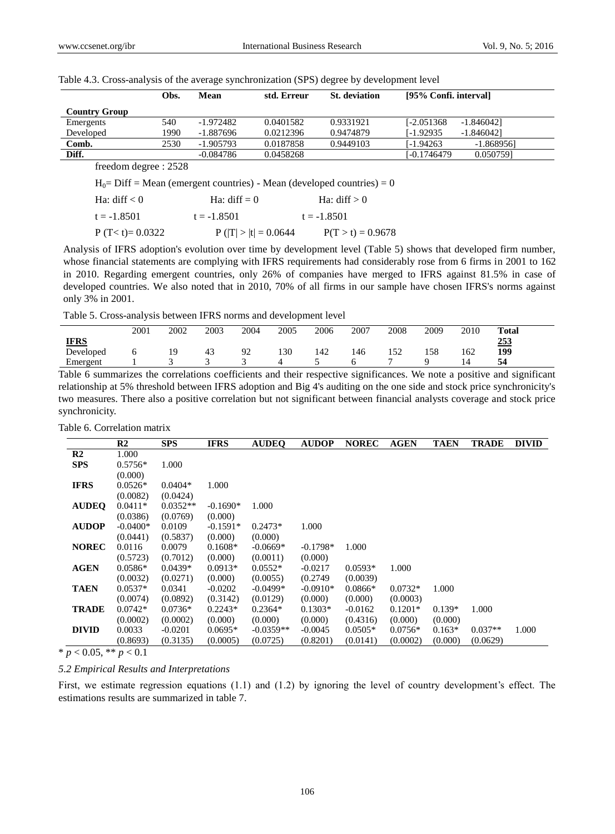|                      | Obs. | Mean        | std. Erreur | <b>St.</b> deviation | [95% Confi. interval]          |
|----------------------|------|-------------|-------------|----------------------|--------------------------------|
| <b>Country Group</b> |      |             |             |                      |                                |
| Emergents            | 540  | $-1.972482$ | 0.0401582   | 0.9331921            | $[-2.051368]$<br>$-1.846042$ ] |
| Developed            | 1990 | -1.887696   | 0.0212396   | 0.9474879            | $-1.846042$ ]<br>[-1.92935]    |
| Comb.                | 2530 | $-1.905793$ | 0.0187858   | 0.9449103            | $-1.868956$<br>[-1.94263]      |
| Diff.                |      | $-0.084786$ | 0.0458268   |                      | [-0.1746479]<br>0.0507591      |

Table 4.3. Cross-analysis of the average synchronization (SPS) degree by development level

freedom degree : 2528

 $H<sub>0</sub>=$  Diff = Mean (emergent countries) - Mean (developed countries) = 0

| Ha: diff $< 0$    | Ha: $diff = 0$         | Ha: $diff > 0$      |
|-------------------|------------------------|---------------------|
| $t = -1.8501$     | $t = -1.8501$          | $t = -1.8501$       |
| $P(T< t)= 0.0322$ | $P( T  >  t  = 0.0644$ | $P(T > t) = 0.9678$ |

Analysis of IFRS adoption's evolution over time by development level (Table 5) shows that developed firm number, whose financial statements are complying with IFRS requirements had considerably rose from 6 firms in 2001 to 162 in 2010. Regarding emergent countries, only 26% of companies have merged to IFRS against 81.5% in case of developed countries. We also noted that in 2010, 70% of all firms in our sample have chosen IFRS's norms against only 3% in 2001.

Table 5. Cross-analysis between IFRS norms and development level

|             | 2001 | 2002 | 2003 | 2004 | 2005 | 2006 | 2007 | 2008 | 2009 | 2010 | <b>Total</b> |  |
|-------------|------|------|------|------|------|------|------|------|------|------|--------------|--|
| <b>IFRS</b> |      |      |      |      |      |      |      |      |      |      | 253          |  |
| Developed   |      | 19   | 43   | 92   | 130  | 142  | 146  |      | 158  | 162  | 199          |  |
| Emergent    |      |      |      |      |      |      |      |      |      | 14   | 54           |  |

Table 6 summarizes the correlations coefficients and their respective significances. We note a positive and significant relationship at 5% threshold between IFRS adoption and Big 4's auditing on the one side and stock price synchronicity's two measures. There also a positive correlation but not significant between financial analysts coverage and stock price synchronicity.

Table 6. Correlation matrix

|                | $\mathbf{R}2$ | <b>SPS</b> | <b>IFRS</b> | <b>AUDEO</b> | <b>AUDOP</b> | <b>NOREC</b> | <b>AGEN</b> | <b>TAEN</b> | <b>TRADE</b> | <b>DIVID</b> |
|----------------|---------------|------------|-------------|--------------|--------------|--------------|-------------|-------------|--------------|--------------|
| R <sub>2</sub> | 1.000         |            |             |              |              |              |             |             |              |              |
| <b>SPS</b>     | $0.5756*$     | 1.000      |             |              |              |              |             |             |              |              |
|                | (0.000)       |            |             |              |              |              |             |             |              |              |
| <b>IFRS</b>    | $0.0526*$     | $0.0404*$  | 1.000       |              |              |              |             |             |              |              |
|                | (0.0082)      | (0.0424)   |             |              |              |              |             |             |              |              |
| <b>AUDEQ</b>   | $0.0411*$     | $0.0352**$ | $-0.1690*$  | 1.000        |              |              |             |             |              |              |
|                | (0.0386)      | (0.0769)   | (0.000)     |              |              |              |             |             |              |              |
| <b>AUDOP</b>   | $-0.0400*$    | 0.0109     | $-0.1591*$  | $0.2473*$    | 1.000        |              |             |             |              |              |
|                | (0.0441)      | (0.5837)   | (0.000)     | (0.000)      |              |              |             |             |              |              |
| <b>NOREC</b>   | 0.0116        | 0.0079     | $0.1608*$   | $-0.0669*$   | $-0.1798*$   | 1.000        |             |             |              |              |
|                | (0.5723)      | (0.7012)   | (0.000)     | (0.0011)     | (0.000)      |              |             |             |              |              |
| <b>AGEN</b>    | $0.0586*$     | $0.0439*$  | $0.0913*$   | $0.0552*$    | $-0.0217$    | $0.0593*$    | 1.000       |             |              |              |
|                | (0.0032)      | (0.0271)   | (0.000)     | (0.0055)     | (0.2749)     | (0.0039)     |             |             |              |              |
| <b>TAEN</b>    | $0.0537*$     | 0.0341     | $-0.0202$   | $-0.0499*$   | $-0.0910*$   | $0.0866*$    | $0.0732*$   | 1.000       |              |              |
|                | (0.0074)      | (0.0892)   | (0.3142)    | (0.0129)     | (0.000)      | (0.000)      | (0.0003)    |             |              |              |
| <b>TRADE</b>   | $0.0742*$     | $0.0736*$  | $0.2243*$   | $0.2364*$    | $0.1303*$    | $-0.0162$    | $0.1201*$   | $0.139*$    | 1.000        |              |
|                | (0.0002)      | (0.0002)   | (0.000)     | (0.000)      | (0.000)      | (0.4316)     | (0.000)     | (0.000)     |              |              |
| <b>DIVID</b>   | 0.0033        | $-0.0201$  | $0.0695*$   | $-0.0359**$  | $-0.0045$    | $0.0505*$    | $0.0756*$   | $0.163*$    | $0.037**$    | 1.000        |
|                | (0.8693)      | (0.3135)   | (0.0005)    | (0.0725)     | (0.8201)     | (0.0141)     | (0.0002)    | (0.000)     | (0.0629)     |              |

\* *p* < 0.05, \*\* *p* < 0.1

*5.2 Empirical Results and Interpretations*

First, we estimate regression equations (1.1) and (1.2) by ignoring the level of country development's effect. The estimations results are summarized in table 7.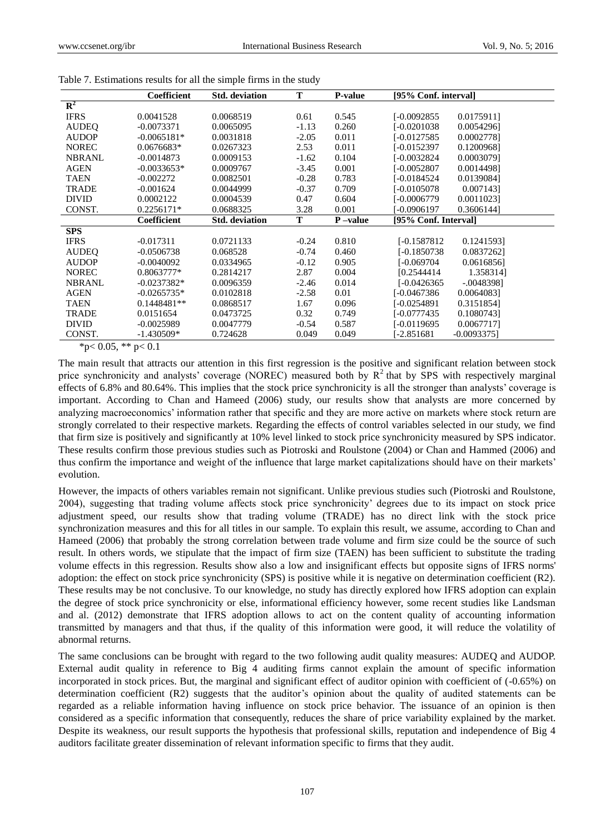|                | Coefficient   | <b>Std.</b> deviation | T       | <b>P-value</b> | [95% Conf. interval] |              |
|----------------|---------------|-----------------------|---------|----------------|----------------------|--------------|
| $\mathbf{R}^2$ |               |                       |         |                |                      |              |
| <b>IFRS</b>    | 0.0041528     | 0.0068519             | 0.61    | 0.545          | $[-0.0092855]$       | 0.0175911]   |
| <b>AUDEO</b>   | $-0.0073371$  | 0.0065095             | $-1.13$ | 0.260          | [-0.0201038          | 0.00542961   |
| <b>AUDOP</b>   | $-0.0065181*$ | 0.0031818             | $-2.05$ | 0.011          | $[-0.0127585]$       | 0.00027781   |
| <b>NOREC</b>   | $0.0676683*$  | 0.0267323             | 2.53    | 0.011          | $[-0.0152397]$       | 0.12009681   |
| <b>NBRANL</b>  | $-0.0014873$  | 0.0009153             | $-1.62$ | 0.104          | [-0.0032824          | 0.00030791   |
| <b>AGEN</b>    | $-0.0033653*$ | 0.0009767             | $-3.45$ | 0.001          | [-0.0052807          | 0.00144981   |
| <b>TAEN</b>    | $-0.002272$   | 0.0082501             | $-0.28$ | 0.783          | [-0.0184524          | 0.0139084]   |
| <b>TRADE</b>   | $-0.001624$   | 0.0044999             | $-0.37$ | 0.709          | [-0.0105078          | 0.0071431    |
| <b>DIVID</b>   | 0.0002122     | 0.0004539             | 0.47    | 0.604          | [-0.0006779          | 0.00110231   |
| CONST.         | 0.2256171*    | 0.0688325             | 3.28    | 0.001          | $-0.0906197$         | 0.36061441   |
|                | Coefficient   | <b>Std.</b> deviation | T       | $P$ -value     | [95% Conf. Interval] |              |
| <b>SPS</b>     |               |                       |         |                |                      |              |
| <b>IFRS</b>    | $-0.017311$   | 0.0721133             | $-0.24$ | 0.810          | $[-0.1587812]$       | 0.1241593]   |
| <b>AUDEO</b>   | $-0.0506738$  | 0.068528              | $-0.74$ | 0.460          | $[-0.1850738]$       | 0.08372621   |
| <b>AUDOP</b>   | $-0.0040092$  | 0.0334965             | $-0.12$ | 0.905          | $[-0.069704]$        | 0.06168561   |
| <b>NOREC</b>   | $0.8063777*$  | 0.2814217             | 2.87    | 0.004          | [0.2544414]          | 1.358314]    |
| <b>NBRANL</b>  | $-0.0237382*$ | 0.0096359             | $-2.46$ | 0.014          | $[-0.0426365]$       | $-.0048398]$ |
| <b>AGEN</b>    | $-0.0265735*$ | 0.0102818             | $-2.58$ | 0.01           | $[-0.0467386]$       | 0.0064083]   |
| <b>TAEN</b>    | $0.1448481**$ | 0.0868517             | 1.67    | 0.096          | [-0.0254891          | 0.3151854]   |
| <b>TRADE</b>   | 0.0151654     | 0.0473725             | 0.32    | 0.749          | $[-0.0777435]$       | 0.1080743]   |
| <b>DIVID</b>   | $-0.0025989$  | 0.0047779             | $-0.54$ | 0.587          | [-0.0119695]         | 0.0067717]   |
| CONST.         | $-1.430509*$  | 0.724628              | 0.049   | 0.049          | $-2.851681$          | $-0.0093375$ |
| 4.00544.01     |               |                       |         |                |                      |              |

Table 7. Estimations results for all the simple firms in the study

\*p $< 0.05$ , \*\* p $< 0.1$ 

The main result that attracts our attention in this first regression is the positive and significant relation between stock price synchronicity and analysts' coverage (NOREC) measured both by  $R^2$  that by SPS with respectively marginal effects of 6.8% and 80.64%. This implies that the stock price synchronicity is all the stronger than analysts' coverage is important. According to Chan and Hameed (2006) study, our results show that analysts are more concerned by analyzing macroeconomics' information rather that specific and they are more active on markets where stock return are strongly correlated to their respective markets. Regarding the effects of control variables selected in our study, we find that firm size is positively and significantly at 10% level linked to stock price synchronicity measured by SPS indicator. These results confirm those previous studies such as Piotroski and Roulstone (2004) or Chan and Hammed (2006) and thus confirm the importance and weight of the influence that large market capitalizations should have on their markets' evolution.

However, the impacts of others variables remain not significant. Unlike previous studies such (Piotroski and Roulstone, 2004), suggesting that trading volume affects stock price synchronicity' degrees due to its impact on stock price adjustment speed, our results show that trading volume (TRADE) has no direct link with the stock price synchronization measures and this for all titles in our sample. To explain this result, we assume, according to Chan and Hameed (2006) that probably the strong correlation between trade volume and firm size could be the source of such result. In others words, we stipulate that the impact of firm size (TAEN) has been sufficient to substitute the trading volume effects in this regression. Results show also a low and insignificant effects but opposite signs of IFRS norms' adoption: the effect on stock price synchronicity (SPS) is positive while it is negative on determination coefficient (R2). These results may be not conclusive. To our knowledge, no study has directly explored how IFRS adoption can explain the degree of stock price synchronicity or else, informational efficiency however, some recent studies like Landsman and al. (2012) demonstrate that IFRS adoption allows to act on the content quality of accounting information transmitted by managers and that thus, if the quality of this information were good, it will reduce the volatility of abnormal returns.

The same conclusions can be brought with regard to the two following audit quality measures: AUDEQ and AUDOP. External audit quality in reference to Big 4 auditing firms cannot explain the amount of specific information incorporated in stock prices. But, the marginal and significant effect of auditor opinion with coefficient of  $(-0.65%)$  on determination coefficient (R2) suggests that the auditor's opinion about the quality of audited statements can be regarded as a reliable information having influence on stock price behavior. The issuance of an opinion is then considered as a specific information that consequently, reduces the share of price variability explained by the market. Despite its weakness, our result supports the hypothesis that professional skills, reputation and independence of Big 4 auditors facilitate greater dissemination of relevant information specific to firms that they audit.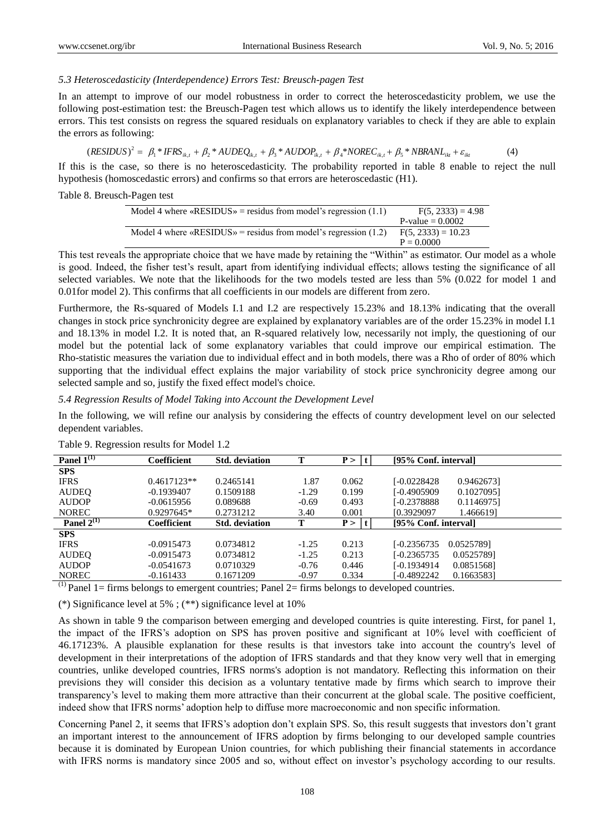## *5.3 Heteroscedasticity (Interdependence) Errors Test: Breusch-pagen Test*

In an attempt to improve of our model robustness in order to correct the heteroscedasticity problem, we use the following post-estimation test: the Breusch-Pagen test which allows us to identify the likely interdependence between errors. This test consists on regress the squared residuals on explanatory variables to check if they are able to explain the errors as following: *i*  $\mathbf{f} \times \mathbf{f}$   $\mathbf{f} \times \mathbf{f}$   $\mathbf{f} \times \mathbf{f}$   $\mathbf{f} \times \mathbf{f}$   $\mathbf{f} \times \mathbf{f}$   $\mathbf{f} \times \mathbf{f}$   $\mathbf{f} \times \mathbf{f}$   $\mathbf{f} \times \mathbf{f}$   $\mathbf{f} \times \mathbf{f}$   $\mathbf{f} \times \mathbf{f}$   $\mathbf{f} \times \mathbf{f}$   $\mathbf{f} \times \mathbf{f}$   $\mathbf{f} \times \mathbf{$ 

$$
(RESIDUS)^{2} = \beta_{1} * IFRS_{ik,t} + \beta_{2} * AUDEQ_{ik,t} + \beta_{3} * AUDOP_{ik,t} + \beta_{4} * NOREC_{ik,t} + \beta_{5} * NBRANL_{ikt} + \varepsilon_{ikt}
$$
(4)

If this is the case, so there is no heteroscedasticity. The probability reported in table 8 enable to reject the null hypothesis (homoscedastic errors) and confirms so that errors are heteroscedastic (H1).

Table 8. Breusch-Pagen test

| Model 4 where «RESIDUS » = residus from model's regression $(1.1)$ | $F(5, 2333) = 4.98$  |
|--------------------------------------------------------------------|----------------------|
|                                                                    | P-value = $0.0002$   |
| Model 4 where «RESIDUS» = residus from model's regression $(1.2)$  | $F(5, 2333) = 10.23$ |
|                                                                    | $P = 0.0000$         |

This test reveals the appropriate choice that we have made by retaining the "Within" as estimator. Our model as a whole is good. Indeed, the fisher test's result, apart from identifying individual effects; allows testing the significance of all selected variables. We note that the likelihoods for the two models tested are less than 5% (0.022 for model 1 and 0.01for model 2). This confirms that all coefficients in our models are different from zero.

Furthermore, the Rs-squared of Models I.1 and I.2 are respectively 15.23% and 18.13% indicating that the overall changes in stock price synchronicity degree are explained by explanatory variables are of the order 15.23% in model I.1 and 18.13% in model I.2. It is noted that, an R-squared relatively low, necessarily not imply, the questioning of our model but the potential lack of some explanatory variables that could improve our empirical estimation. The Rho-statistic measures the variation due to individual effect and in both models, there was a Rho of order of 80% which supporting that the individual effect explains the major variability of stock price synchronicity degree among our selected sample and so, justify the fixed effect model's choice.

*5.4 Regression Results of Model Taking into Account the Development Level*

In the following, we will refine our analysis by considering the effects of country development level on our selected dependent variables.

| Panel $1^{(1)}$ | Coefficient        | <b>Std.</b> deviation | т       | P >   | [95% Conf. interval]         |
|-----------------|--------------------|-----------------------|---------|-------|------------------------------|
| <b>SPS</b>      |                    |                       |         |       |                              |
| <b>IFRS</b>     | $0.4617123**$      | 0.2465141             | 1.87    | 0.062 | $[-0.0228428]$<br>0.94626731 |
| <b>AUDEQ</b>    | $-0.1939407$       | 0.1509188             | $-1.29$ | 0.199 | [-0.4905909]<br>0.10270951   |
| <b>AUDOP</b>    | $-0.0615956$       | 0.089688              | $-0.69$ | 0.493 | $[-0.2378888]$<br>0.11469751 |
| <b>NOREC</b>    | $0.9297645*$       | 0.2731212             | 3.40    | 0.001 | 1.4666191<br>[0.3929097]     |
|                 |                    |                       |         |       |                              |
| Panel $2^{(1)}$ | <b>Coefficient</b> | <b>Std.</b> deviation | т       | P > 1 | [95% Conf. interval]         |
| <b>SPS</b>      |                    |                       |         |       |                              |
| <b>IFRS</b>     | $-0.0915473$       | 0.0734812             | $-1.25$ | 0.213 | [-0.2356735<br>0.05257891    |
| <b>AUDEO</b>    | $-0.0915473$       | 0.0734812             | $-1.25$ | 0.213 | [-0.2365735]<br>0.05257891   |
| <b>AUDOP</b>    | $-0.0541673$       | 0.0710329             | $-0.76$ | 0.446 | $[-0.1934914]$<br>0.0851568] |
| <b>NOREC</b>    | $-0.161433$        | 0.1671209             | $-0.97$ | 0.334 | [-0.4892242<br>0.16635831    |

Table 9. Regression results for Model 1.2

 $<sup>(1)</sup>$  Panel 1= firms belongs to emergent countries; Panel 2= firms belongs to developed countries.</sup>

(\*) Significance level at 5% ; (\*\*) significance level at 10%

As shown in table 9 the comparison between emerging and developed countries is quite interesting. First, for panel 1, the impact of the IFRS's adoption on SPS has proven positive and significant at 10% level with coefficient of 46.17123%. A plausible explanation for these results is that investors take into account the country's level of development in their interpretations of the adoption of IFRS standards and that they know very well that in emerging countries, unlike developed countries, IFRS norms's adoption is not mandatory. Reflecting this information on their previsions they will consider this decision as a voluntary tentative made by firms which search to improve their transparency's level to making them more attractive than their concurrent at the global scale. The positive coefficient, indeed show that IFRS norms' adoption help to diffuse more macroeconomic and non specific information.

Concerning Panel 2, it seems that IFRS's adoption don't explain SPS. So, this result suggests that investors don't grant an important interest to the announcement of IFRS adoption by firms belonging to our developed sample countries because it is dominated by European Union countries, for which publishing their financial statements in accordance with IFRS norms is mandatory since 2005 and so, without effect on investor's psychology according to our results.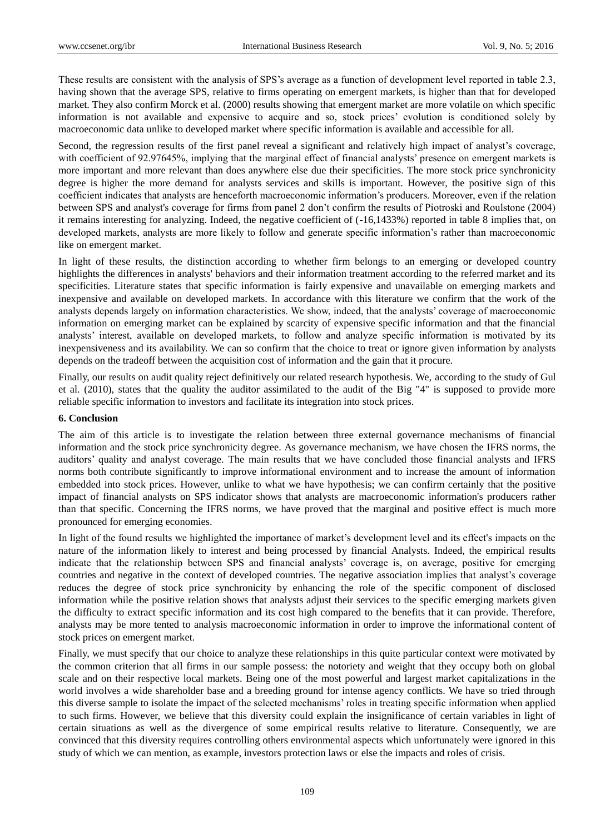These results are consistent with the analysis of SPS's average as a function of development level reported in table 2.3, having shown that the average SPS, relative to firms operating on emergent markets, is higher than that for developed market. They also confirm Morck et al. (2000) results showing that emergent market are more volatile on which specific information is not available and expensive to acquire and so, stock prices' evolution is conditioned solely by macroeconomic data unlike to developed market where specific information is available and accessible for all.

Second, the regression results of the first panel reveal a significant and relatively high impact of analyst's coverage, with coefficient of 92.97645%, implying that the marginal effect of financial analysts' presence on emergent markets is more important and more relevant than does anywhere else due their specificities. The more stock price synchronicity degree is higher the more demand for analysts services and skills is important. However, the positive sign of this coefficient indicates that analysts are henceforth macroeconomic information's producers. Moreover, even if the relation between SPS and analyst's coverage for firms from panel 2 don't confirm the results of Piotroski and Roulstone (2004) it remains interesting for analyzing. Indeed, the negative coefficient of (-16,1433%) reported in table 8 implies that, on developed markets, analysts are more likely to follow and generate specific information's rather than macroeconomic like on emergent market.

In light of these results, the distinction according to whether firm belongs to an emerging or developed country highlights the differences in analysts' behaviors and their information treatment according to the referred market and its specificities. Literature states that specific information is fairly expensive and unavailable on emerging markets and inexpensive and available on developed markets. In accordance with this literature we confirm that the work of the analysts depends largely on information characteristics. We show, indeed, that the analysts' coverage of macroeconomic information on emerging market can be explained by scarcity of expensive specific information and that the financial analysts' interest, available on developed markets, to follow and analyze specific information is motivated by its inexpensiveness and its availability. We can so confirm that the choice to treat or ignore given information by analysts depends on the tradeoff between the acquisition cost of information and the gain that it procure.

Finally, our results on audit quality reject definitively our related research hypothesis. We, according to the study of Gul et al. (2010), states that the quality the auditor assimilated to the audit of the Big "4" is supposed to provide more reliable specific information to investors and facilitate its integration into stock prices.

#### **6. Conclusion**

The aim of this article is to investigate the relation between three external governance mechanisms of financial information and the stock price synchronicity degree. As governance mechanism, we have chosen the IFRS norms, the auditors' quality and analyst coverage. The main results that we have concluded those financial analysts and IFRS norms both contribute significantly to improve informational environment and to increase the amount of information embedded into stock prices. However, unlike to what we have hypothesis; we can confirm certainly that the positive impact of financial analysts on SPS indicator shows that analysts are macroeconomic information's producers rather than that specific. Concerning the IFRS norms, we have proved that the marginal and positive effect is much more pronounced for emerging economies.

In light of the found results we highlighted the importance of market's development level and its effect's impacts on the nature of the information likely to interest and being processed by financial Analysts. Indeed, the empirical results indicate that the relationship between SPS and financial analysts' coverage is, on average, positive for emerging countries and negative in the context of developed countries. The negative association implies that analyst's coverage reduces the degree of stock price synchronicity by enhancing the role of the specific component of disclosed information while the positive relation shows that analysts adjust their services to the specific emerging markets given the difficulty to extract specific information and its cost high compared to the benefits that it can provide. Therefore, analysts may be more tented to analysis macroeconomic information in order to improve the informational content of stock prices on emergent market.

Finally, we must specify that our choice to analyze these relationships in this quite particular context were motivated by the common criterion that all firms in our sample possess: the notoriety and weight that they occupy both on global scale and on their respective local markets. Being one of the most powerful and largest market capitalizations in the world involves a wide shareholder base and a breeding ground for intense agency conflicts. We have so tried through this diverse sample to isolate the impact of the selected mechanisms' roles in treating specific information when applied to such firms. However, we believe that this diversity could explain the insignificance of certain variables in light of certain situations as well as the divergence of some empirical results relative to literature. Consequently, we are convinced that this diversity requires controlling others environmental aspects which unfortunately were ignored in this study of which we can mention, as example, investors protection laws or else the impacts and roles of crisis.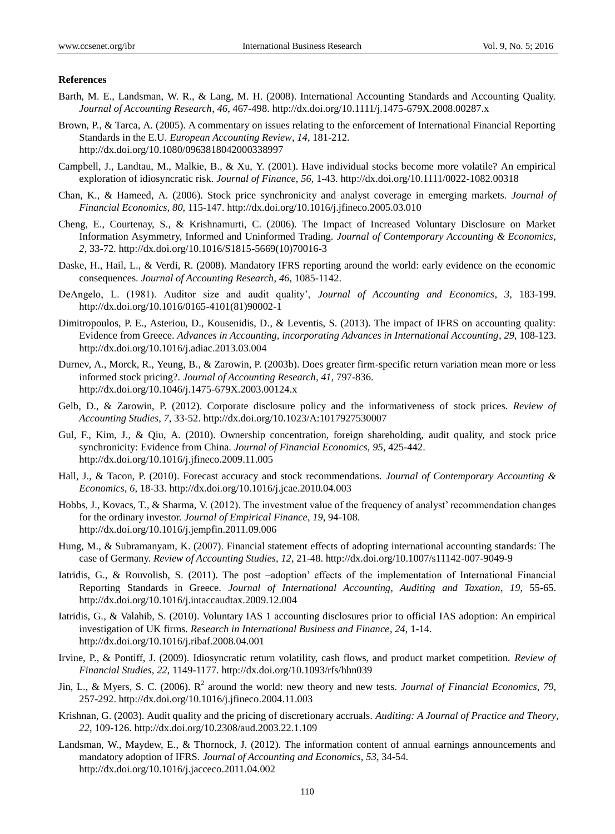#### **References**

- Barth, M. E., Landsman, W. R., & Lang, M. H. (2008). International Accounting Standards and Accounting Quality. *Journal of Accounting Research*, *46*, 467-498[. http://dx.doi.org/10.1111/j.1475-679X.2008.00287.x](http://dx.doi.org/10.1111/j.1475-679X.2008.00287.x)
- Brown, P., & Tarca, A. (2005). A commentary on issues relating to the enforcement of International Financial Reporting Standards in the E.U. *European Accounting Review*, *14*, 181-212. <http://dx.doi.org/10.1080/0963818042000338997>
- Campbell, J., Landtau, M., Malkie, B., & Xu, Y. (2001). Have individual stocks become more volatile? An empirical exploration of idiosyncratic risk. *Journal of Finance*, *56*, 1-43[. http://dx.doi.org/10.1111/0022-1082.00318](http://dx.doi.org/10.1111/0022-1082.00318)
- Chan, K., & Hameed, A. (2006). Stock price synchronicity and analyst coverage in emerging markets. *Journal of Financial Economics, 80*, 115-147.<http://dx.doi.org/10.1016/j.jfineco.2005.03.010>
- Cheng, E., Courtenay, S., & Krishnamurti, C. (2006). The Impact of Increased Voluntary Disclosure on Market Information Asymmetry, Informed and Uninformed Trading. *Journal of Contemporary Accounting & Economics*, *2*, 33-72*.* [http://dx.doi.org/10.1016/S1815-5669\(10\)70016-3](http://dx.doi.org/10.1016/S1815-5669(10)70016-3)
- Daske, H., Hail, L., & Verdi, R. (2008). Mandatory IFRS reporting around the world: early evidence on the economic consequences. *Journal of Accounting Research*, *46*, 1085-1142.
- DeAngelo, L. (1981). Auditor size and audit quality', *Journal of Accounting and Economics*, *3*, 183-199. [http://dx.doi.org/10.1016/0165-4101\(81\)90002-1](http://dx.doi.org/10.1016/0165-4101(81)90002-1)
- Dimitropoulos, P. E., Asteriou, D., Kousenidis, D., & Leventis, S. (2013). The impact of IFRS on accounting quality: Evidence from Greece. *Advances in Accounting, incorporating Advances in International Accounting*, *29*, 108-123. <http://dx.doi.org/10.1016/j.adiac.2013.03.004>
- Durnev, A., Morck, R., Yeung, B., & Zarowin, P. (2003b). Does greater firm-specific return variation mean more or less informed stock pricing?. *Journal of Accounting Research*, *41*, 797-836. <http://dx.doi.org/10.1046/j.1475-679X.2003.00124.x>
- Gelb, D., & Zarowin, P. (2012). Corporate disclosure policy and the informativeness of stock prices. *Review of Accounting Studies*, *7*, 33-52.<http://dx.doi.org/10.1023/A:1017927530007>
- Gul, F., Kim, J., & Qiu, A. (2010). Ownership concentration, foreign shareholding, audit quality, and stock price synchronicity: Evidence from China. *Journal of Financial Economics, 95*, 425-442. <http://dx.doi.org/10.1016/j.jfineco.2009.11.005>
- Hall, J., & Tacon, P. (2010). Forecast accuracy and stock recommendations. *Journal of Contemporary Accounting & Economics*, *6*, 18-33.<http://dx.doi.org/10.1016/j.jcae.2010.04.003>
- Hobbs, J., Kovacs, T., & Sharma, V. (2012). The investment value of the frequency of analyst' recommendation changes for the ordinary investor. *Journal of Empirical Finance*, *19*, 94-108. <http://dx.doi.org/10.1016/j.jempfin.2011.09.006>
- Hung, M., & Subramanyam, K. (2007). Financial statement effects of adopting international accounting standards: The case of Germany. *Review of Accounting Studies*, *12*, 21-48[. http://dx.doi.org/10.1007/s11142-007-9049-9](http://dx.doi.org/10.1007/s11142-007-9049-9)
- Iatridis, G., & Rouvolisb, S. (2011). The post –adoption' effects of the implementation of International Financial Reporting Standards in Greece. *Journal of International Accounting, Auditing and Taxation*, *19*, 55-65. <http://dx.doi.org/10.1016/j.intaccaudtax.2009.12.004>
- Iatridis, G., & Valahib, S. (2010). Voluntary IAS 1 accounting disclosures prior to official IAS adoption: An empirical investigation of UK firms. *Research in International Business and Finance*, *24*, 1-14. <http://dx.doi.org/10.1016/j.ribaf.2008.04.001>
- Irvine, P., & Pontiff, J. (2009). Idiosyncratic return volatility, cash flows, and product market competition. *Review of Financial Studies, 22*, 1149-1177[. http://dx.doi.org/10.1093/rfs/hhn039](http://dx.doi.org/10.1093/rfs/hhn039)
- Jin, L., & Myers, S. C. (2006). R<sup>2</sup> around the world: new theory and new tests. *Journal of Financial Economics*, 79, 257-292.<http://dx.doi.org/10.1016/j.jfineco.2004.11.003>
- Krishnan, G. (2003). Audit quality and the pricing of discretionary accruals. *Auditing: A Journal of Practice and Theory*, *22*, 109-126.<http://dx.doi.org/10.2308/aud.2003.22.1.109>
- Landsman, W., Maydew, E., & Thornock, J. (2012). The information content of annual earnings announcements and mandatory adoption of IFRS. *Journal of Accounting and Economics, 53*, 34-54. <http://dx.doi.org/10.1016/j.jacceco.2011.04.002>